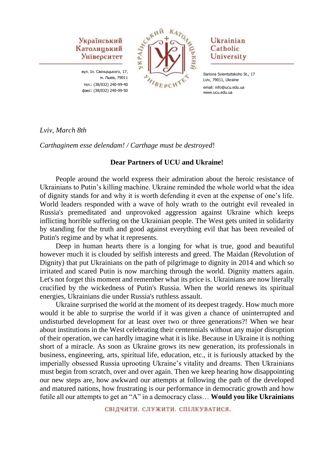вул. Іл. Свєнціцького, 17, м. Львів, 79011 тел.: (38/032) 240-99-40 факс: (38/032) 240-99-50



## Ukrainian Catholic University

Ilariona Svientsitskoho St., 17 Lviv, 79011, Ukraine email: info@ucu.edu.ua www.ucu.edu.ua

*Lviv, March 8th*

*Carthaginem esse delendam! / Carthage must be destroyed*!

## **Dear Partners of UCU and Ukraine!**

People around the world express their admiration about the heroic resistance of Ukrainians to Putin's killing machine. Ukraine reminded the whole world what the idea of dignity stands for and why it is worth defending it even at the expense of one's life. World leaders responded with a wave of holy wrath to the outright evil revealed in Russia's premeditated and unprovoked aggression against Ukraine which keeps inflicting horrible suffering on the Ukrainian people. The West gets united in solidarity by standing for the truth and good against everything evil that has been revealed of Putin's regime and by what it represents.

Deep in human hearts there is a longing for what is true, good and beautiful however much it is clouded by selfish interests and greed. The Maidan (Revolution of Dignity) that put Ukrainians on the path of pilgrimage to dignity in 2014 and which so irritated and scared Putin is now marching through the world. Dignity matters again. Let's not forget this moment and remember what its price is. Ukrainians are now literally crucified by the wickedness of Putin's Russia. When the world renews its spiritual energies, Ukrainians die under Russia's ruthless assault.

Ukraine surprised the world at the moment of its deepest tragedy. How much more would it be able to surprise the world if it was given a chance of uninterrupted and undisturbed development for at least over two or three generations?! When we hear about institutions in the West celebrating their centennials without any major disruption of their operation, we can hardly imagine what it is like. Because in Ukraine it is nothing short of a miracle. As soon as Ukraine grows its new generation, its professionals in business, engineering, arts, spiritual life, education, etc., it is furiously attacked by the imperially obsessed Russia uprooting Ukraine's vitality and dreams. Then Ukrainians must begin from scratch, over and over again. Then we keep hearing how disappointing our new steps are, how awkward our attempts at following the path of the developed and matured nations, how frustrating is our performance in democratic growth and how futile all our attempts to get an "A" in a democracy class… **Would you like Ukrainians** 

СВІДЧИТИ, СЛУЖИТИ, СПІЛКУВАТИСЯ.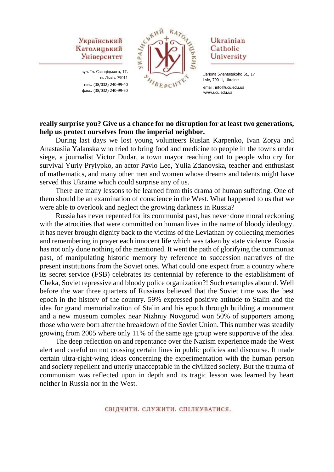вул. Іл. Свєнціцького, 17, м. Львів, 79011 тел.: (38/032) 240-99-40 факс: (38/032) 240-99-50



## Ukrainian Catholic University

#### **really surprise you? Give us a chance for no disruption for at least two generations, help us protect ourselves from the imperial neighbor.**

During last days we lost young volunteers Ruslan Karpenko, Ivan Zorya and Anastasiia Yalanska who tried to bring food and medicine to people in the towns under siege, a journalist Victor Dudar, a town mayor reaching out to people who cry for survival Yuriy Prylypko, an actor Pavlo Lee, Yulia Zdanovska, teacher and enthusiast of mathematics, and many other men and women whose dreams and talents might have served this Ukraine which could surprise any of us.

There are many lessons to be learned from this drama of human suffering. One of them should be an examination of conscience in the West. What happened to us that we were able to overlook and neglect the growing darkness in Russia?

Russia has never repented for its communist past, has never done moral reckoning with the atrocities that were committed on human lives in the name of bloody ideology. It has never brought dignity back to the victims of the Leviathan by collecting memories and remembering in prayer each innocent life which was taken by state violence. Russia has not only done nothing of the mentioned. It went the path of glorifying the communist past, of manipulating historic memory by reference to succession narratives of the present institutions from the Soviet ones. What could one expect from a country where its secret service (FSB) celebrates its centennial by reference to the establishment of Cheka, Soviet repressive and bloody police organization?! Such examples abound. Well before the war three quarters of Russians believed that the Soviet time was the best epoch in the history of the country. 59% expressed positive attitude to Stalin and the idea for grand memorialization of Stalin and his epoch through building a monument and a new museum complex near Nizhniy Novgorod won 50% of supporters among those who were born after the breakdown of the Soviet Union. This number was steadily growing from 2005 where only 11% of the same age group were supportive of the idea.

The deep reflection on and repentance over the Nazism experience made the West alert and careful on not crossing certain lines in public policies and discourse. It made certain ultra-right-wing ideas concerning the experimentation with the human person and society repellent and utterly unacceptable in the civilized society. But the trauma of communism was reflected upon in depth and its tragic lesson was learned by heart neither in Russia nor in the West.

Ilariona Svientsitskoho St., 17 Lviv, 79011, Ukraine email: info@ucu.edu.ua www.ucu.edu.ua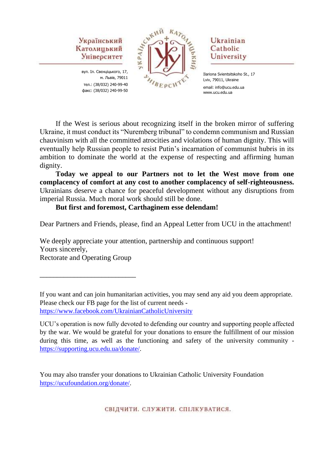вул. Іл. Свєнціцького, 17, м. Львів, 79011 тел.: (38/032) 240-99-40 факс: (38/032) 240-99-50



## Ukrainian Catholic University

Ilariona Svientsitskoho St., 17 Lviv, 79011, Ukraine email: info@ucu.edu.ua www.ucu.edu.ua

If the West is serious about recognizing itself in the broken mirror of suffering Ukraine, it must conduct its "Nuremberg tribunal" to condemn communism and Russian chauvinism with all the committed atrocities and violations of human dignity. This will eventually help Russian people to resist Putin's incarnation of communist hubris in its ambition to dominate the world at the expense of respecting and affirming human dignity.

**Today we appeal to our Partners not to let the West move from one complacency of comfort at any cost to another complacency of self-righteousness.**  Ukrainians deserve a chance for peaceful development without any disruptions from imperial Russia. Much moral work should still be done.

**But first and foremost, Carthaginem esse delendam!**

Dear Partners and Friends, please, find an Appeal Letter from UCU in the attachment!

We deeply appreciate your attention, partnership and continuous support! Yours sincerely, Rectorate and Operating Group

\_\_\_\_\_\_\_\_\_\_\_\_\_\_\_\_\_\_\_\_\_\_\_\_\_\_\_\_

If you want and can join humanitarian activities, you may send any aid you deem appropriate. Please check our FB page for the list of current needs <https://www.facebook.com/UkrainianCatholicUniversity>

UCU's operation is now fully devoted to defending our country and supporting people affected by the war. We would be grateful for your donations to ensure the fulfillment of our mission during this time, as well as the functioning and safety of the university community [https://supporting.ucu.edu.ua/donate/.](https://supporting.ucu.edu.ua/donate/)

You may also transfer your donations to Ukrainian Catholic University Foundation [https://ucufoundation.org/donate/.](https://ucufoundation.org/donate/)

СВІДЧИТИ. СЛУЖИТИ. СПІЛКУВАТИСЯ.